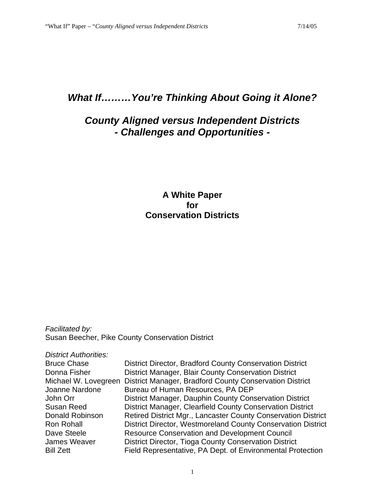# *What If………You're Thinking About Going it Alone?*

# *County Aligned versus Independent Districts - Challenges and Opportunities -*

## **A White Paper for Conservation Districts**

*Facilitated by:* Susan Beecher, Pike County Conservation District

| <b>District Authorities:</b> |                                                               |
|------------------------------|---------------------------------------------------------------|
| <b>Bruce Chase</b>           | District Director, Bradford County Conservation District      |
| Donna Fisher                 | District Manager, Blair County Conservation District          |
| Michael W. Lovegreen         | District Manager, Bradford County Conservation District       |
| Joanne Nardone               | Bureau of Human Resources, PA DEP                             |
| John Orr                     | District Manager, Dauphin County Conservation District        |
| Susan Reed                   | District Manager, Clearfield County Conservation District     |
| Donald Robinson              | Retired District Mgr., Lancaster County Conservation District |
| <b>Ron Rohall</b>            | District Director, Westmoreland County Conservation District  |
| Dave Steele                  | <b>Resource Conservation and Development Council</b>          |
| James Weaver                 | District Director, Tioga County Conservation District         |
| <b>Bill Zett</b>             | Field Representative, PA Dept. of Environmental Protection    |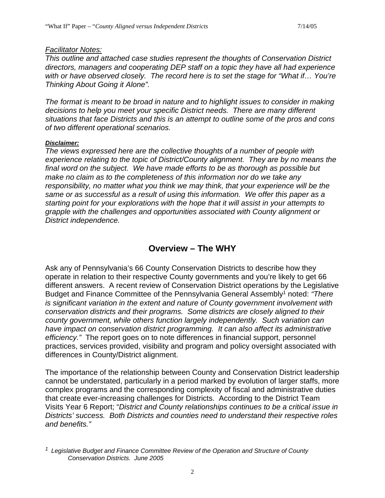#### *Facilitator Notes:*

*This outline and attached case studies represent the thoughts of Conservation District directors, managers and cooperating DEP staff on a topic they have all had experience with or have observed closely. The record here is to set the stage for "What if… You're Thinking About Going it Alone".*

*The format is meant to be broad in nature and to highlight issues to consider in making decisions to help you meet your specific District needs. There are many different situations that face Districts and this is an attempt to outline some of the pros and cons of two different operational scenarios.*

#### *Disclaimer:*

*The views expressed here are the collective thoughts of a number of people with experience relating to the topic of District/County alignment. They are by no means the final word on the subject. We have made efforts to be as thorough as possible but make no claim as to the completeness of this information nor do we take any responsibility, no matter what you think we may think, that your experience will be the same or as successful as a result of using this information. We offer this paper as a starting point for your explorations with the hope that it will assist in your attempts to grapple with the challenges and opportunities associated with County alignment or District independence.* 

## **Overview – The WHY**

Ask any of Pennsylvania's 66 County Conservation Districts to describe how they operate in relation to their respective County governments and you're likely to get 66 different answers. A recent review of Conservation District operations by the Legislative Budget and Finance Committee of the Pennsylvania General Assembly1 noted: *"There is significant variation in the extent and nature of County government involvement with conservation districts and their programs. Some districts are closely aligned to their county government, while others function largely independently. Such variation can have impact on conservation district programming. It can also affect its administrative efficiency."* The report goes on to note differences in financial support, personnel practices, services provided, visibility and program and policy oversight associated with differences in County/District alignment.

The importance of the relationship between County and Conservation District leadership cannot be understated, particularly in a period marked by evolution of larger staffs, more complex programs and the corresponding complexity of fiscal and administrative duties that create ever-increasing challenges for Districts. According to the District Team Visits Year 6 Report; "*District and County relationships continues to be a critical issue in Districts' success. Both Districts and counties need to understand their respective roles and benefits."*

*<sup>1</sup> Legislative Budget and Finance Committee Review of the Operation and Structure of County Conservation Districts. June 2005*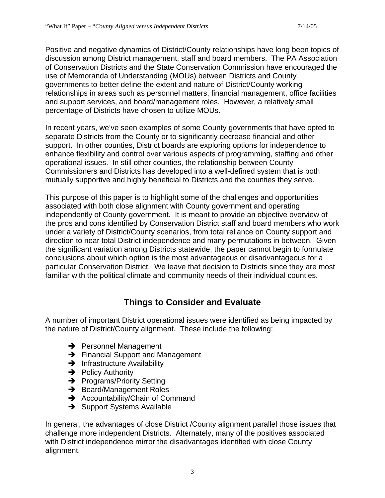Positive and negative dynamics of District/County relationships have long been topics of discussion among District management, staff and board members. The PA Association of Conservation Districts and the State Conservation Commission have encouraged the use of Memoranda of Understanding (MOUs) between Districts and County governments to better define the extent and nature of District/County working relationships in areas such as personnel matters, financial management, office facilities and support services, and board/management roles. However, a relatively small percentage of Districts have chosen to utilize MOUs.

In recent years, we've seen examples of some County governments that have opted to separate Districts from the County or to significantly decrease financial and other support. In other counties, District boards are exploring options for independence to enhance flexibility and control over various aspects of programming, staffing and other operational issues. In still other counties, the relationship between County Commissioners and Districts has developed into a well-defined system that is both mutually supportive and highly beneficial to Districts and the counties they serve.

This purpose of this paper is to highlight some of the challenges and opportunities associated with both close alignment with County government and operating independently of County government. It is meant to provide an objective overview of the pros and cons identified by Conservation District staff and board members who work under a variety of District/County scenarios, from total reliance on County support and direction to near total District independence and many permutations in between. Given the significant variation among Districts statewide, the paper cannot begin to formulate conclusions about which option is the most advantageous or disadvantageous for a particular Conservation District. We leave that decision to Districts since they are most familiar with the political climate and community needs of their individual counties.

# **Things to Consider and Evaluate**

A number of important District operational issues were identified as being impacted by the nature of District/County alignment. These include the following:

- $\rightarrow$  Personnel Management
- $\rightarrow$  Financial Support and Management
- $\rightarrow$  Infrastructure Availability
- $\rightarrow$  Policy Authority
- $\rightarrow$  Programs/Priority Setting
- $\rightarrow$  Board/Management Roles
- $\rightarrow$  Accountability/Chain of Command
- $\rightarrow$  Support Systems Available

In general, the advantages of close District /County alignment parallel those issues that challenge more independent Districts. Alternately, many of the positives associated with District independence mirror the disadvantages identified with close County alignment.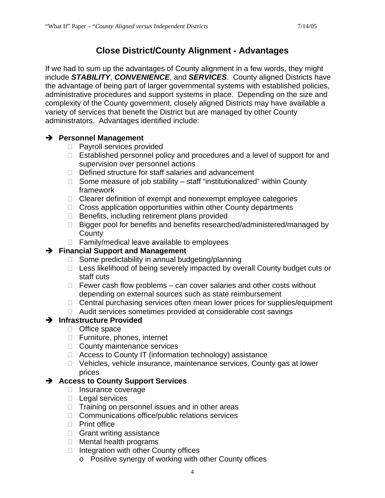# **Close District/County Alignment - Advantages**

If we had to sum up the advantages of County alignment in a few words, they might include *STABILITY*, *CONVENIENCE*, and *SERVICES*. County aligned Districts have the advantage of being part of larger governmental systems with established policies, administrative procedures and support systems in place. Depending on the size and complexity of the County government, closely aligned Districts may have available a variety of services that benefit the District but are managed by other County administrators. Advantages identified include:

### **Personnel Management**

- □ Payroll services provided
- □ Established personnel policy and procedures and a level of support for and supervision over personnel actions
- □ Defined structure for staff salaries and advancement
- $\Box$  Some measure of job stability staff "institutionalized" within County framework
- $\Box$  Clearer definition of exempt and nonexempt employee categories
- $\Box$  Cross application opportunities within other County departments
- $\Box$  Benefits, including retirement plans provided
- □ Bigger pool for benefits and benefits researched/administered/managed by **County**
- $\Box$  Family/medical leave available to employees

## **Financial Support and Management**

- $\Box$  Some predictability in annual budgeting/planning
- $\Box$  Less likelihood of being severely impacted by overall County budget cuts or staff cuts
- $\Box$  Fewer cash flow problems can cover salaries and other costs without depending on external sources such as state reimbursement
- $\Box$  Central purchasing services often mean lower prices for supplies/equipment
- □ Audit services sometimes provided at considerable cost savings

#### **Infrastructure Provided**

- Office space
- Furniture, phones, internet
- □ County maintenance services
- $\Box$  Access to County IT (information technology) assistance
- □ Vehicles, vehicle insurance, maintenance services, County gas at lower prices

## **Access to County Support Services**

- □ Insurance coverage
- $\Box$  Legal services
- $\Box$  Training on personnel issues and in other areas
- □ Communications office/public relations services
- $\Box$  Print office
- □ Grant writing assistance
- □ Mental health programs
- $\Box$  Integration with other County offices
	- o Positive synergy of working with other County offices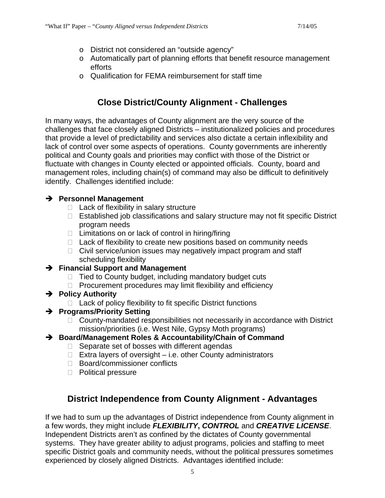- o District not considered an "outside agency"
- o Automatically part of planning efforts that benefit resource management efforts
- o Qualification for FEMA reimbursement for staff time

# **Close District/County Alignment - Challenges**

In many ways, the advantages of County alignment are the very source of the challenges that face closely aligned Districts – institutionalized policies and procedures that provide a level of predictability and services also dictate a certain inflexibility and lack of control over some aspects of operations. County governments are inherently political and County goals and priorities may conflict with those of the District or fluctuate with changes in County elected or appointed officials. County, board and management roles, including chain(s) of command may also be difficult to definitively identify. Challenges identified include:

### **Personnel Management**

- $\Box$  Lack of flexibility in salary structure
- $\Box$  Established job classifications and salary structure may not fit specific District program needs
- $\Box$  Limitations on or lack of control in hiring/firing
- $\Box$  Lack of flexibility to create new positions based on community needs
- $\Box$  Civil service/union issues may negatively impact program and staff scheduling flexibility

#### **Financial Support and Management**

- $\Box$  Tied to County budget, including mandatory budget cuts
- $\Box$  Procurement procedures may limit flexibility and efficiency
- **→ Policy Authority** 
	- $\Box$  Lack of policy flexibility to fit specific District functions
- **Programs/Priority Setting**
	- □ County-mandated responsibilities not necessarily in accordance with District mission/priorities (i.e. West Nile, Gypsy Moth programs)
- **Board/Management Roles & Accountability/Chain of Command**
	- $\Box$  Separate set of bosses with different agendas
	- $\Box$  Extra layers of oversight i.e. other County administrators
	- □ Board/commissioner conflicts
	- D Political pressure

# **District Independence from County Alignment - Advantages**

If we had to sum up the advantages of District independence from County alignment in a few words, they might include *FLEXIBILITY***,** *CONTROL* and *CREATIVE LICENSE*. Independent Districts aren't as confined by the dictates of County governmental systems. They have greater ability to adjust programs, policies and staffing to meet specific District goals and community needs, without the political pressures sometimes experienced by closely aligned Districts. Advantages identified include: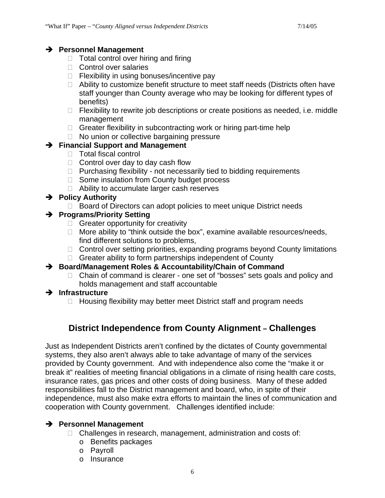#### **Personnel Management**

- $\Box$  Total control over hiring and firing
- □ Control over salaries
- $\Box$  Flexibility in using bonuses/incentive pay
- □ Ability to customize benefit structure to meet staff needs (Districts often have staff younger than County average who may be looking for different types of benefits)
- $\Box$  Flexibility to rewrite job descriptions or create positions as needed, i.e. middle management
- $\Box$  Greater flexibility in subcontracting work or hiring part-time help
- $\Box$  No union or collective bargaining pressure

### **Financial Support and Management**

- □ Total fiscal control
- $\Box$  Control over day to day cash flow
- $\Box$  Purchasing flexibility not necessarily tied to bidding requirements
- □ Some insulation from County budget process
- □ Ability to accumulate larger cash reserves

### **Policy Authority**

□ Board of Directors can adopt policies to meet unique District needs

### **Programs/Priority Setting**

- $\Box$  Greater opportunity for creativity
- $\Box$  More ability to "think outside the box", examine available resources/needs, find different solutions to problems,
- □ Control over setting priorities, expanding programs beyond County limitations
- $\Box$  Greater ability to form partnerships independent of County

#### **Board/Management Roles & Accountability/Chain of Command**

- □ Chain of command is clearer one set of "bosses" sets goals and policy and holds management and staff accountable
- **Infrastructure**
	- $\Box$  Housing flexibility may better meet District staff and program needs

# **District Independence from County Alignment – Challenges**

Just as Independent Districts aren't confined by the dictates of County governmental systems, they also aren't always able to take advantage of many of the services provided by County government. And with independence also come the "make it or break it" realities of meeting financial obligations in a climate of rising health care costs, insurance rates, gas prices and other costs of doing business. Many of these added responsibilities fall to the District management and board, who, in spite of their independence, must also make extra efforts to maintain the lines of communication and cooperation with County government. Challenges identified include:

#### **Personnel Management**

- $\Box$  Challenges in research, management, administration and costs of:
	- o Benefits packages
	- o Payroll
	- o Insurance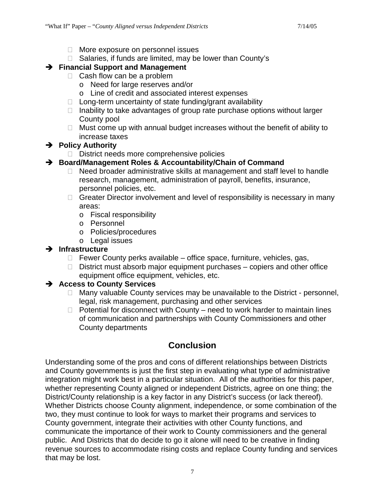- □ More exposure on personnel issues
- $\Box$  Salaries, if funds are limited, may be lower than County's

## **Financial Support and Management**

- □ Cash flow can be a problem
	- o Need for large reserves and/or
	- o Line of credit and associated interest expenses
- $\Box$  Long-term uncertainty of state funding/grant availability
- $\Box$  Inability to take advantages of group rate purchase options without larger County pool
- $\Box$  Must come up with annual budget increases without the benefit of ability to increase taxes

## **→** Policy Authority

 $\Box$  District needs more comprehensive policies

## **Board/Management Roles & Accountability/Chain of Command**

- $\Box$  Need broader administrative skills at management and staff level to handle research, management, administration of payroll, benefits, insurance, personnel policies, etc.
- $\Box$  Greater Director involvement and level of responsibility is necessary in many areas:
	- o Fiscal responsibility
	- o Personnel
	- o Policies/procedures
	- o Legal issues

## **Infrastructure**

- $\Box$  Fewer County perks available office space, furniture, vehicles, gas,
- $\Box$  District must absorb major equipment purchases copiers and other office equipment office equipment, vehicles, etc.

## **Access to County Services**

- $\Box$  Many valuable County services may be unavailable to the District personnel, legal, risk management, purchasing and other services
- $\Box$  Potential for disconnect with County need to work harder to maintain lines of communication and partnerships with County Commissioners and other County departments

# **Conclusion**

Understanding some of the pros and cons of different relationships between Districts and County governments is just the first step in evaluating what type of administrative integration might work best in a particular situation. All of the authorities for this paper, whether representing County aligned or independent Districts, agree on one thing; the District/County relationship is a key factor in any District's success (or lack thereof). Whether Districts choose County alignment, independence, or some combination of the two, they must continue to look for ways to market their programs and services to County government, integrate their activities with other County functions, and communicate the importance of their work to County commissioners and the general public. And Districts that do decide to go it alone will need to be creative in finding revenue sources to accommodate rising costs and replace County funding and services that may be lost.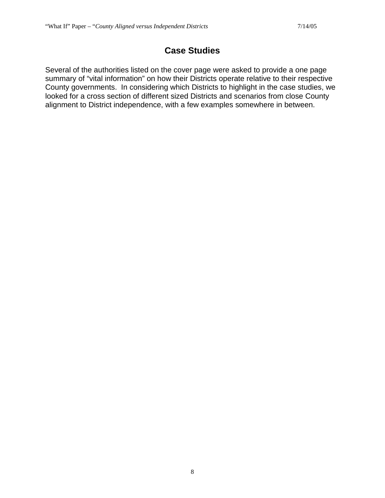# **Case Studies**

Several of the authorities listed on the cover page were asked to provide a one page summary of "vital information" on how their Districts operate relative to their respective County governments. In considering which Districts to highlight in the case studies, we looked for a cross section of different sized Districts and scenarios from close County alignment to District independence, with a few examples somewhere in between.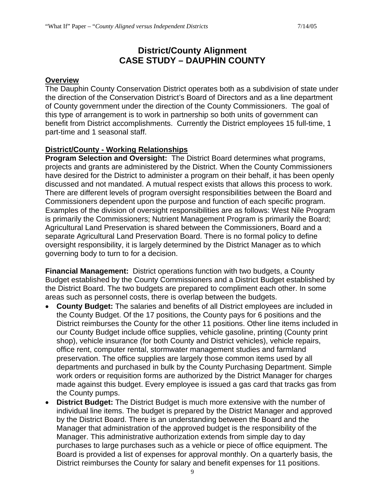## **District/County Alignment CASE STUDY – DAUPHIN COUNTY**

#### **Overview**

The Dauphin County Conservation District operates both as a subdivision of state under the direction of the Conservation District's Board of Directors and as a line department of County government under the direction of the County Commissioners. The goal of this type of arrangement is to work in partnership so both units of government can benefit from District accomplishments. Currently the District employees 15 full-time, 1 part-time and 1 seasonal staff.

#### **District/County - Working Relationships**

**Program Selection and Oversight:** The District Board determines what programs, projects and grants are administered by the District. When the County Commissioners have desired for the District to administer a program on their behalf, it has been openly discussed and not mandated. A mutual respect exists that allows this process to work. There are different levels of program oversight responsibilities between the Board and Commissioners dependent upon the purpose and function of each specific program. Examples of the division of oversight responsibilities are as follows: West Nile Program is primarily the Commissioners; Nutrient Management Program is primarily the Board; Agricultural Land Preservation is shared between the Commissioners, Board and a separate Agricultural Land Preservation Board. There is no formal policy to define oversight responsibility, it is largely determined by the District Manager as to which governing body to turn to for a decision.

**Financial Management:** District operations function with two budgets, a County Budget established by the County Commissioners and a District Budget established by the District Board. The two budgets are prepared to compliment each other. In some areas such as personnel costs, there is overlap between the budgets.

- **County Budget:** The salaries and benefits of all District employees are included in the County Budget. Of the 17 positions, the County pays for 6 positions and the District reimburses the County for the other 11 positions. Other line items included in our County Budget include office supplies, vehicle gasoline, printing (County print shop), vehicle insurance (for both County and District vehicles), vehicle repairs, office rent, computer rental, stormwater management studies and farmland preservation. The office supplies are largely those common items used by all departments and purchased in bulk by the County Purchasing Department. Simple work orders or requisition forms are authorized by the District Manager for charges made against this budget. Every employee is issued a gas card that tracks gas from the County pumps.
- **District Budget:** The District Budget is much more extensive with the number of individual line items. The budget is prepared by the District Manager and approved by the District Board. There is an understanding between the Board and the Manager that administration of the approved budget is the responsibility of the Manager. This administrative authorization extends from simple day to day purchases to large purchases such as a vehicle or piece of office equipment. The Board is provided a list of expenses for approval monthly. On a quarterly basis, the District reimburses the County for salary and benefit expenses for 11 positions.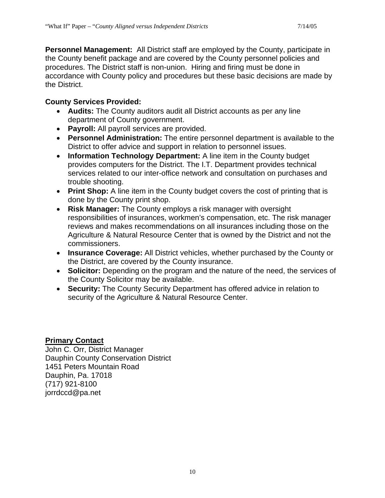**Personnel Management:** All District staff are employed by the County, participate in the County benefit package and are covered by the County personnel policies and procedures. The District staff is non-union. Hiring and firing must be done in accordance with County policy and procedures but these basic decisions are made by the District.

### **County Services Provided:**

- **Audits:** The County auditors audit all District accounts as per any line department of County government.
- **Payroll:** All payroll services are provided.
- **Personnel Administration:** The entire personnel department is available to the District to offer advice and support in relation to personnel issues.
- **Information Technology Department:** A line item in the County budget provides computers for the District. The I.T. Department provides technical services related to our inter-office network and consultation on purchases and trouble shooting.
- **Print Shop:** A line item in the County budget covers the cost of printing that is done by the County print shop.
- **Risk Manager:** The County employs a risk manager with oversight responsibilities of insurances, workmen's compensation, etc. The risk manager reviews and makes recommendations on all insurances including those on the Agriculture & Natural Resource Center that is owned by the District and not the commissioners.
- **Insurance Coverage:** All District vehicles, whether purchased by the County or the District, are covered by the County insurance.
- **Solicitor:** Depending on the program and the nature of the need, the services of the County Solicitor may be available.
- **Security:** The County Security Department has offered advice in relation to security of the Agriculture & Natural Resource Center.

## **Primary Contact**

John C. Orr, District Manager Dauphin County Conservation District 1451 Peters Mountain Road Dauphin, Pa. 17018 (717) 921-8100 jorrdccd@pa.net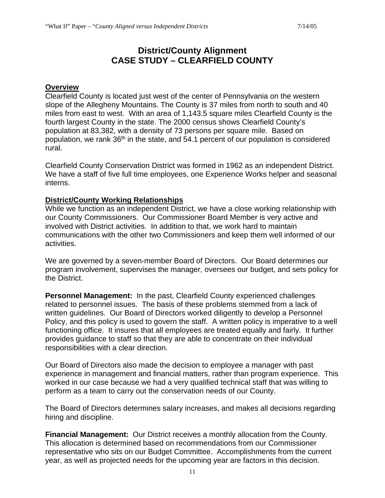## **District/County Alignment CASE STUDY – CLEARFIELD COUNTY**

#### **Overview**

Clearfield County is located just west of the center of Pennsylvania on the western slope of the Allegheny Mountains. The County is 37 miles from north to south and 40 miles from east to west. With an area of 1,143.5 square miles Clearfield County is the fourth largest County in the state. The 2000 census shows Clearfield County's population at 83,382, with a density of 73 persons per square mile. Based on population, we rank 36<sup>th</sup> in the state, and 54.1 percent of our population is considered rural.

Clearfield County Conservation District was formed in 1962 as an independent District. We have a staff of five full time employees, one Experience Works helper and seasonal interns.

#### **District/County Working Relationships**

While we function as an independent District, we have a close working relationship with our County Commissioners. Our Commissioner Board Member is very active and involved with District activities. In addition to that, we work hard to maintain communications with the other two Commissioners and keep them well informed of our activities.

We are governed by a seven-member Board of Directors. Our Board determines our program involvement, supervises the manager, oversees our budget, and sets policy for the District.

**Personnel Management:** In the past, Clearfield County experienced challenges related to personnel issues. The basis of these problems stemmed from a lack of written guidelines. Our Board of Directors worked diligently to develop a Personnel Policy, and this policy is used to govern the staff. A written policy is imperative to a well functioning office. It insures that all employees are treated equally and fairly. It further provides guidance to staff so that they are able to concentrate on their individual responsibilities with a clear direction.

Our Board of Directors also made the decision to employee a manager with past experience in management and financial matters, rather than program experience. This worked in our case because we had a very qualified technical staff that was willing to perform as a team to carry out the conservation needs of our County.

The Board of Directors determines salary increases, and makes all decisions regarding hiring and discipline.

**Financial Management:** Our District receives a monthly allocation from the County. This allocation is determined based on recommendations from our Commissioner representative who sits on our Budget Committee. Accomplishments from the current year, as well as projected needs for the upcoming year are factors in this decision.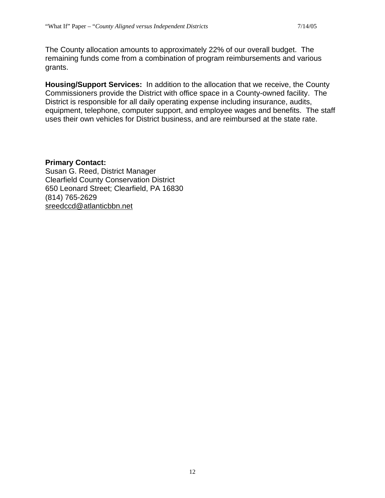The County allocation amounts to approximately 22% of our overall budget. The remaining funds come from a combination of program reimbursements and various grants.

**Housing/Support Services:** In addition to the allocation that we receive, the County Commissioners provide the District with office space in a County-owned facility. The District is responsible for all daily operating expense including insurance, audits, equipment, telephone, computer support, and employee wages and benefits. The staff uses their own vehicles for District business, and are reimbursed at the state rate.

#### **Primary Contact:**

Susan G. Reed, District Manager Clearfield County Conservation District 650 Leonard Street; Clearfield, PA 16830 (814) 765-2629 [sreedccd@atlanticbbn.net](mailto:sreedccd@atlanticbbn.net)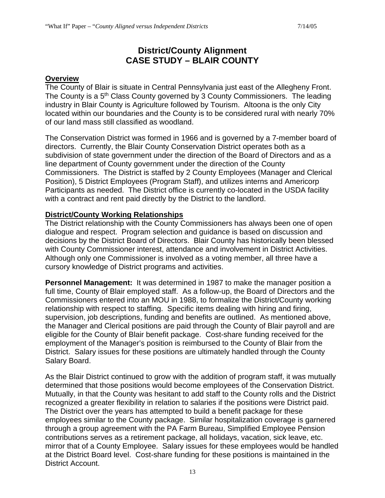## **District/County Alignment CASE STUDY – BLAIR COUNTY**

#### **Overview**

The County of Blair is situate in Central Pennsylvania just east of the Allegheny Front. The County is a 5<sup>th</sup> Class County governed by 3 County Commissioners. The leading industry in Blair County is Agriculture followed by Tourism. Altoona is the only City located within our boundaries and the County is to be considered rural with nearly 70% of our land mass still classified as woodland.

The Conservation District was formed in 1966 and is governed by a 7-member board of directors. Currently, the Blair County Conservation District operates both as a subdivision of state government under the direction of the Board of Directors and as a line department of County government under the direction of the County Commissioners. The District is staffed by 2 County Employees (Manager and Clerical Position), 5 District Employees (Program Staff), and utilizes interns and Americorp Participants as needed. The District office is currently co-located in the USDA facility with a contract and rent paid directly by the District to the landlord.

#### **District/County Working Relationships**

The District relationship with the County Commissioners has always been one of open dialogue and respect. Program selection and guidance is based on discussion and decisions by the District Board of Directors. Blair County has historically been blessed with County Commissioner interest, attendance and involvement in District Activities. Although only one Commissioner is involved as a voting member, all three have a cursory knowledge of District programs and activities.

**Personnel Management:** It was determined in 1987 to make the manager position a full time, County of Blair employed staff. As a follow-up, the Board of Directors and the Commissioners entered into an MOU in 1988, to formalize the District/County working relationship with respect to staffing. Specific items dealing with hiring and firing, supervision, job descriptions, funding and benefits are outlined. As mentioned above, the Manager and Clerical positions are paid through the County of Blair payroll and are eligible for the County of Blair benefit package. Cost-share funding received for the employment of the Manager's position is reimbursed to the County of Blair from the District. Salary issues for these positions are ultimately handled through the County Salary Board.

As the Blair District continued to grow with the addition of program staff, it was mutually determined that those positions would become employees of the Conservation District. Mutually, in that the County was hesitant to add staff to the County rolls and the District recognized a greater flexibility in relation to salaries if the positions were District paid. The District over the years has attempted to build a benefit package for these employees similar to the County package. Similar hospitalization coverage is garnered through a group agreement with the PA Farm Bureau, Simplified Employee Pension contributions serves as a retirement package, all holidays, vacation, sick leave, etc. mirror that of a County Employee. Salary issues for these employees would be handled at the District Board level. Cost-share funding for these positions is maintained in the District Account.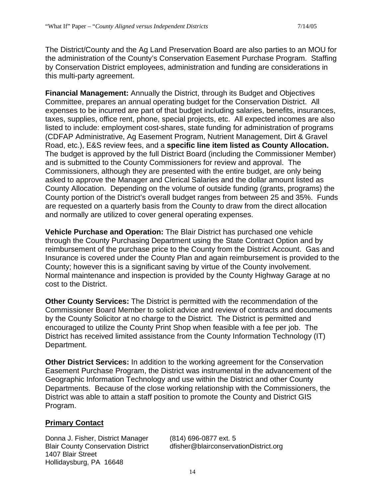The District/County and the Ag Land Preservation Board are also parties to an MOU for the administration of the County's Conservation Easement Purchase Program. Staffing by Conservation District employees, administration and funding are considerations in this multi-party agreement.

**Financial Management:** Annually the District, through its Budget and Objectives Committee, prepares an annual operating budget for the Conservation District. All expenses to be incurred are part of that budget including salaries, benefits, insurances, taxes, supplies, office rent, phone, special projects, etc. All expected incomes are also listed to include: employment cost-shares, state funding for administration of programs (CDFAP Administrative, Ag Easement Program, Nutrient Management, Dirt & Gravel Road, etc.), E&S review fees, and a **specific line item listed as County Allocation.** The budget is approved by the full District Board (including the Commissioner Member) and is submitted to the County Commissioners for review and approval. The Commissioners, although they are presented with the entire budget, are only being asked to approve the Manager and Clerical Salaries and the dollar amount listed as County Allocation. Depending on the volume of outside funding (grants, programs) the County portion of the District's overall budget ranges from between 25 and 35%. Funds are requested on a quarterly basis from the County to draw from the direct allocation and normally are utilized to cover general operating expenses.

**Vehicle Purchase and Operation:** The Blair District has purchased one vehicle through the County Purchasing Department using the State Contract Option and by reimbursement of the purchase price to the County from the District Account. Gas and Insurance is covered under the County Plan and again reimbursement is provided to the County; however this is a significant saving by virtue of the County involvement. Normal maintenance and inspection is provided by the County Highway Garage at no cost to the District.

**Other County Services:** The District is permitted with the recommendation of the Commissioner Board Member to solicit advice and review of contracts and documents by the County Solicitor at no charge to the District. The District is permitted and encouraged to utilize the County Print Shop when feasible with a fee per job. The District has received limited assistance from the County Information Technology (IT) Department.

**Other District Services:** In addition to the working agreement for the Conservation Easement Purchase Program, the District was instrumental in the advancement of the Geographic Information Technology and use within the District and other County Departments. Because of the close working relationship with the Commissioners, the District was able to attain a staff position to promote the County and District GIS Program.

#### **Primary Contact**

Donna J. Fisher, District Manager (814) 696-0877 ext. 5 1407 Blair Street Hollidaysburg, PA 16648

Blair County Conservation District dfisher@blairconservationDistrict.org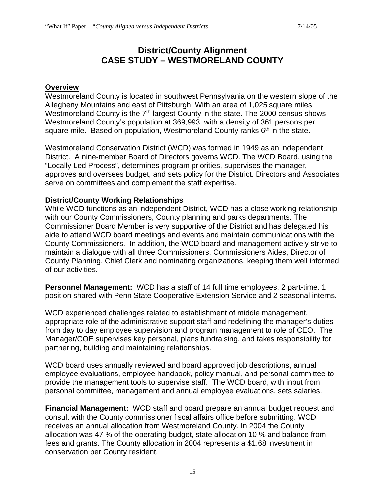## **District/County Alignment CASE STUDY – WESTMORELAND COUNTY**

#### **Overview**

Westmoreland County is located in southwest Pennsylvania on the western slope of the Allegheny Mountains and east of Pittsburgh. With an area of 1,025 square miles Westmoreland County is the 7<sup>th</sup> largest County in the state. The 2000 census shows Westmoreland County's population at 369,993, with a density of 361 persons per square mile. Based on population, Westmoreland County ranks  $6<sup>th</sup>$  in the state.

Westmoreland Conservation District (WCD) was formed in 1949 as an independent District. A nine-member Board of Directors governs WCD. The WCD Board, using the "Locally Led Process", determines program priorities, supervises the manager, approves and oversees budget, and sets policy for the District. Directors and Associates serve on committees and complement the staff expertise.

#### **District/County Working Relationships**

While WCD functions as an independent District, WCD has a close working relationship with our County Commissioners, County planning and parks departments. The Commissioner Board Member is very supportive of the District and has delegated his aide to attend WCD board meetings and events and maintain communications with the County Commissioners. In addition, the WCD board and management actively strive to maintain a dialogue with all three Commissioners, Commissioners Aides, Director of County Planning, Chief Clerk and nominating organizations, keeping them well informed of our activities.

**Personnel Management:** WCD has a staff of 14 full time employees, 2 part-time, 1 position shared with Penn State Cooperative Extension Service and 2 seasonal interns.

WCD experienced challenges related to establishment of middle management, appropriate role of the administrative support staff and redefining the manager's duties from day to day employee supervision and program management to role of CEO. The Manager/COE supervises key personal, plans fundraising, and takes responsibility for partnering, building and maintaining relationships.

WCD board uses annually reviewed and board approved job descriptions, annual employee evaluations, employee handbook, policy manual, and personal committee to provide the management tools to supervise staff. The WCD board, with input from personal committee, management and annual employee evaluations, sets salaries.

**Financial Management:** WCD staff and board prepare an annual budget request and consult with the County commissioner fiscal affairs office before submitting. WCD receives an annual allocation from Westmoreland County. In 2004 the County allocation was 47 % of the operating budget, state allocation 10 % and balance from fees and grants. The County allocation in 2004 represents a \$1.68 investment in conservation per County resident.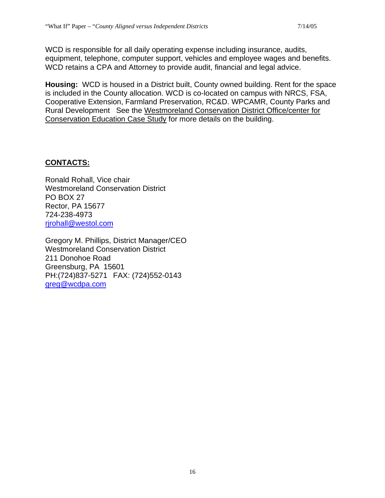WCD is responsible for all daily operating expense including insurance, audits, equipment, telephone, computer support, vehicles and employee wages and benefits. WCD retains a CPA and Attorney to provide audit, financial and legal advice.

**Housing:** WCD is housed in a District built, County owned building. Rent for the space is included in the County allocation. WCD is co-located on campus with NRCS, FSA, Cooperative Extension, Farmland Preservation, RC&D. WPCAMR, County Parks and Rural Development See the Westmoreland Conservation District Office/center for Conservation Education Case Study for more details on the building.

#### **CONTACTS:**

Ronald Rohall, Vice chair Westmoreland Conservation District PO BOX 27 Rector, PA 15677 724-238-4973 [rjrohall@westol.com](mailto:rjrohall@westol.com)

Gregory M. Phillips, District Manager/CEO Westmoreland Conservation District 211 Donohoe Road Greensburg, PA 15601 PH:(724)837-5271 FAX: (724)552-0143 [greg@wcdpa.com](mailto:greg@wcdpa.com)